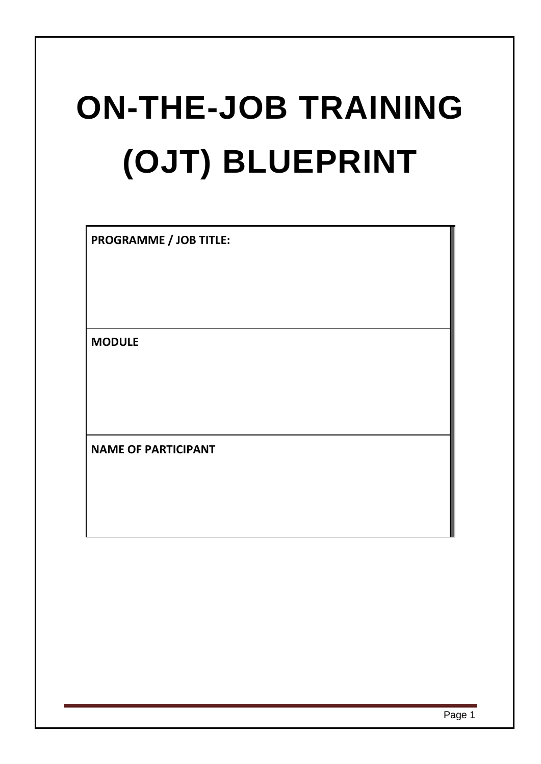# **ON-THE-JOB TRAINING (OJT) BLUEPRINT**

**PROGRAMME / JOB TITLE:**

**MODULE**

**NAME OF PARTICIPANT**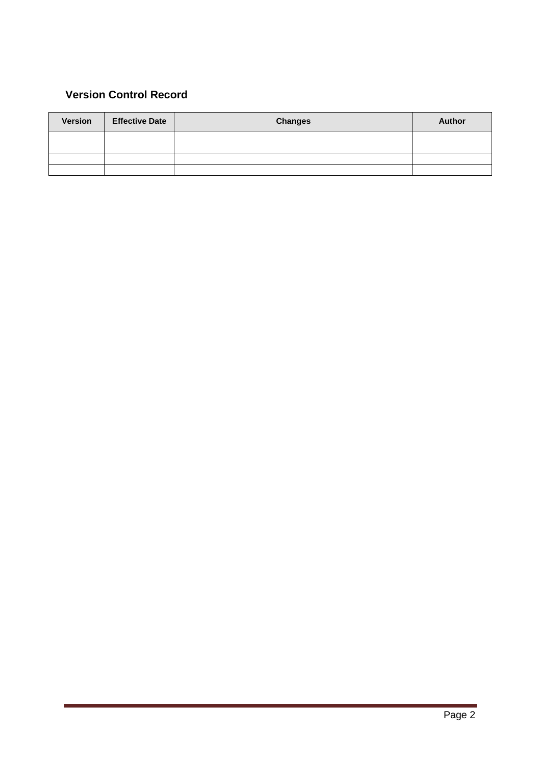#### **Version Control Record**

| Version | <b>Effective Date</b> | <b>Changes</b> | <b>Author</b> |
|---------|-----------------------|----------------|---------------|
|         |                       |                |               |
|         |                       |                |               |
|         |                       |                |               |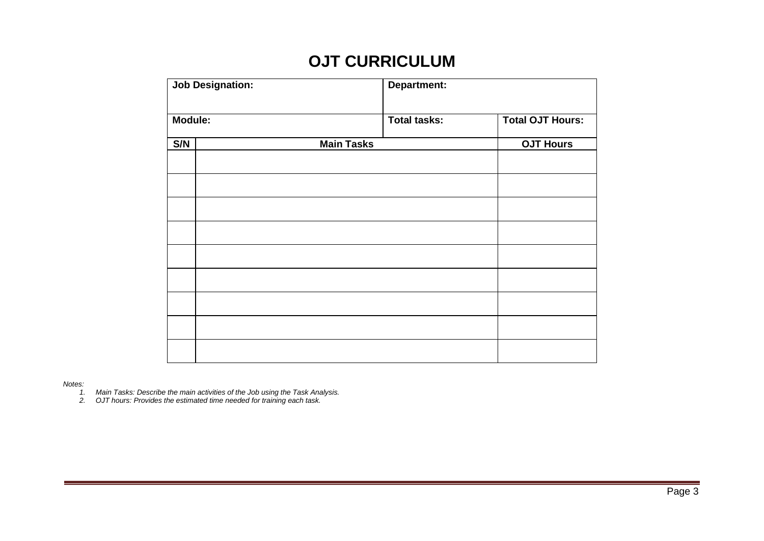### **OJT CURRICULUM**

| <b>Job Designation:</b> |  | <b>Department:</b> |                     |                         |  |  |
|-------------------------|--|--------------------|---------------------|-------------------------|--|--|
| Module:                 |  |                    | <b>Total tasks:</b> | <b>Total OJT Hours:</b> |  |  |
| S/N                     |  | <b>Main Tasks</b>  |                     | <b>OJT Hours</b>        |  |  |
|                         |  |                    |                     |                         |  |  |
|                         |  |                    |                     |                         |  |  |
|                         |  |                    |                     |                         |  |  |
|                         |  |                    |                     |                         |  |  |
|                         |  |                    |                     |                         |  |  |
|                         |  |                    |                     |                         |  |  |
|                         |  |                    |                     |                         |  |  |
|                         |  |                    |                     |                         |  |  |
|                         |  |                    |                     |                         |  |  |

*Notes:*

*1. Main Tasks: Describe the main activities of the Job using the Task Analysis.*

*2. OJT hours: Provides the estimated time needed for training each task.*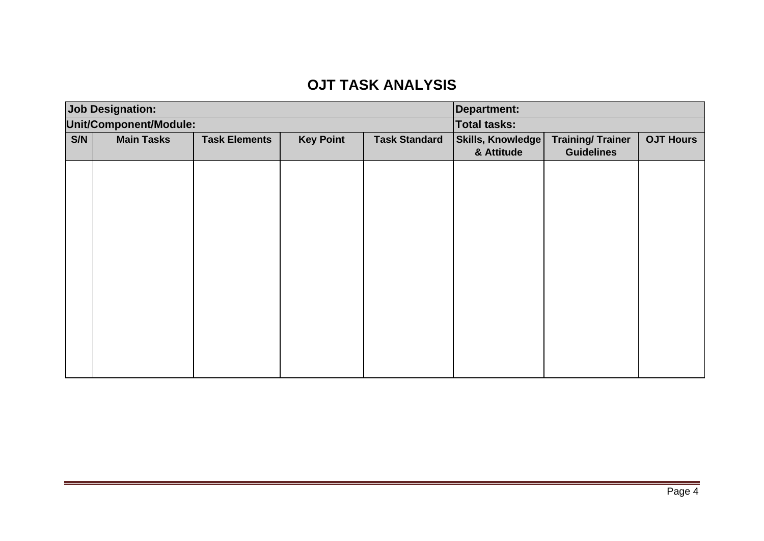## **OJT TASK ANALYSIS**

| <b>Job Designation:</b> |                        |                      |                                          |  | <b>Department:</b>                           |                     |                  |  |
|-------------------------|------------------------|----------------------|------------------------------------------|--|----------------------------------------------|---------------------|------------------|--|
|                         | Unit/Component/Module: |                      |                                          |  |                                              | <b>Total tasks:</b> |                  |  |
| S/N                     | <b>Main Tasks</b>      | <b>Task Elements</b> | <b>Key Point</b><br><b>Task Standard</b> |  | Skills, Knowledge<br><b>Training/Trainer</b> |                     | <b>OJT Hours</b> |  |
|                         |                        |                      |                                          |  | & Attitude                                   | <b>Guidelines</b>   |                  |  |
|                         |                        |                      |                                          |  |                                              |                     |                  |  |
|                         |                        |                      |                                          |  |                                              |                     |                  |  |
|                         |                        |                      |                                          |  |                                              |                     |                  |  |
|                         |                        |                      |                                          |  |                                              |                     |                  |  |
|                         |                        |                      |                                          |  |                                              |                     |                  |  |
|                         |                        |                      |                                          |  |                                              |                     |                  |  |
|                         |                        |                      |                                          |  |                                              |                     |                  |  |
|                         |                        |                      |                                          |  |                                              |                     |                  |  |
|                         |                        |                      |                                          |  |                                              |                     |                  |  |
|                         |                        |                      |                                          |  |                                              |                     |                  |  |
|                         |                        |                      |                                          |  |                                              |                     |                  |  |
|                         |                        |                      |                                          |  |                                              |                     |                  |  |
|                         |                        |                      |                                          |  |                                              |                     |                  |  |
|                         |                        |                      |                                          |  |                                              |                     |                  |  |
|                         |                        |                      |                                          |  |                                              |                     |                  |  |
|                         |                        |                      |                                          |  |                                              |                     |                  |  |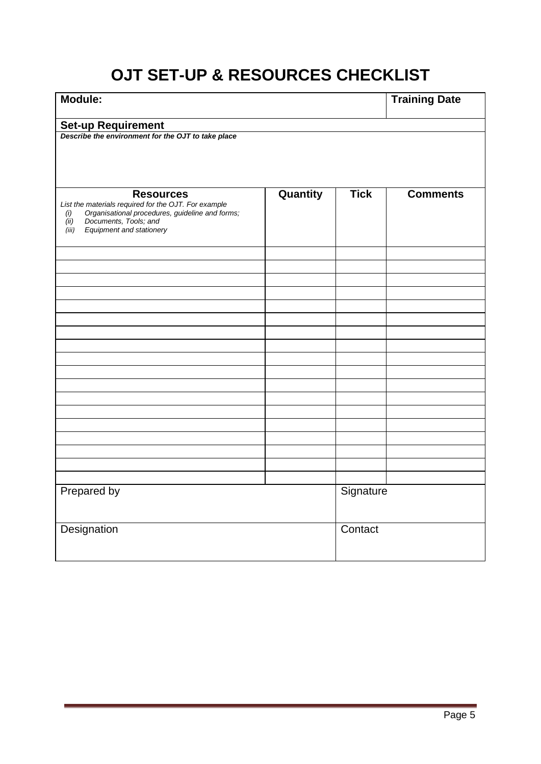# **OJT SET-UP & RESOURCES CHECKLIST**

| Module:                                                                                                                                                                                                  | <b>Training Date</b> |             |                 |
|----------------------------------------------------------------------------------------------------------------------------------------------------------------------------------------------------------|----------------------|-------------|-----------------|
| <b>Set-up Requirement</b>                                                                                                                                                                                |                      |             |                 |
| Describe the environment for the OJT to take place                                                                                                                                                       |                      |             |                 |
| <b>Resources</b><br>List the materials required for the OJT. For example<br>Organisational procedures, guideline and forms;<br>(i)<br>Documents, Tools; and<br>(ii)<br>Equipment and stationery<br>(iii) | Quantity             | <b>Tick</b> | <b>Comments</b> |
|                                                                                                                                                                                                          |                      |             |                 |
|                                                                                                                                                                                                          |                      |             |                 |
|                                                                                                                                                                                                          |                      |             |                 |
|                                                                                                                                                                                                          |                      |             |                 |
|                                                                                                                                                                                                          |                      |             |                 |
|                                                                                                                                                                                                          |                      |             |                 |
|                                                                                                                                                                                                          |                      |             |                 |
|                                                                                                                                                                                                          |                      |             |                 |
|                                                                                                                                                                                                          |                      |             |                 |
|                                                                                                                                                                                                          |                      |             |                 |
|                                                                                                                                                                                                          |                      |             |                 |
|                                                                                                                                                                                                          |                      |             |                 |
|                                                                                                                                                                                                          |                      |             |                 |
|                                                                                                                                                                                                          |                      |             |                 |
|                                                                                                                                                                                                          |                      |             |                 |
| Prepared by                                                                                                                                                                                              | Signature            |             |                 |
| Designation                                                                                                                                                                                              | Contact              |             |                 |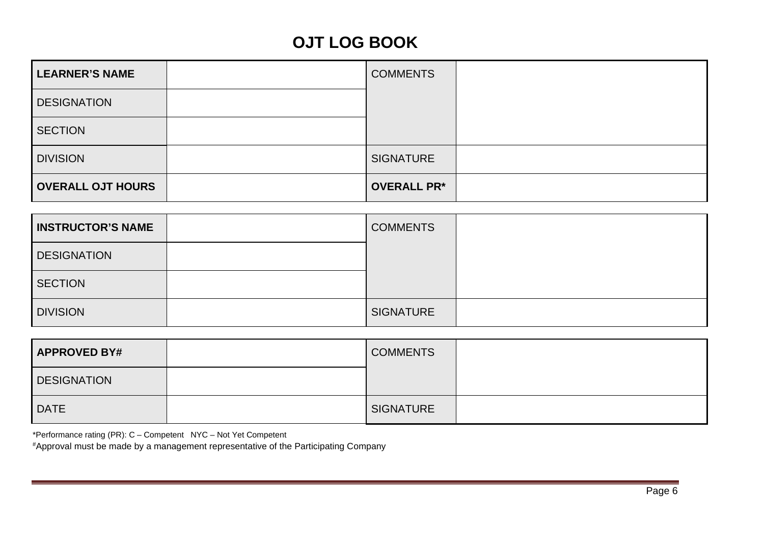# **OJT LOG BOOK**

| <b>LEARNER'S NAME</b>    | <b>COMMENTS</b>    |  |
|--------------------------|--------------------|--|
| <b>DESIGNATION</b>       |                    |  |
| <b>SECTION</b>           |                    |  |
| <b>DIVISION</b>          | <b>SIGNATURE</b>   |  |
| <b>OVERALL OJT HOURS</b> | <b>OVERALL PR*</b> |  |

| <b>INSTRUCTOR'S NAME</b> | <b>COMMENTS</b>  |  |
|--------------------------|------------------|--|
| <b>DESIGNATION</b>       |                  |  |
| <b>SECTION</b>           |                  |  |
| <b>DIVISION</b>          | <b>SIGNATURE</b> |  |

| <b>APPROVED BY#</b> | <b>COMMENTS</b>  |  |
|---------------------|------------------|--|
| DESIGNATION         |                  |  |
| <b>DATE</b>         | <b>SIGNATURE</b> |  |

\*Performance rating (PR): C – Competent NYC – Not Yet Competent

#Approval must be made by a management representative of the Participating Company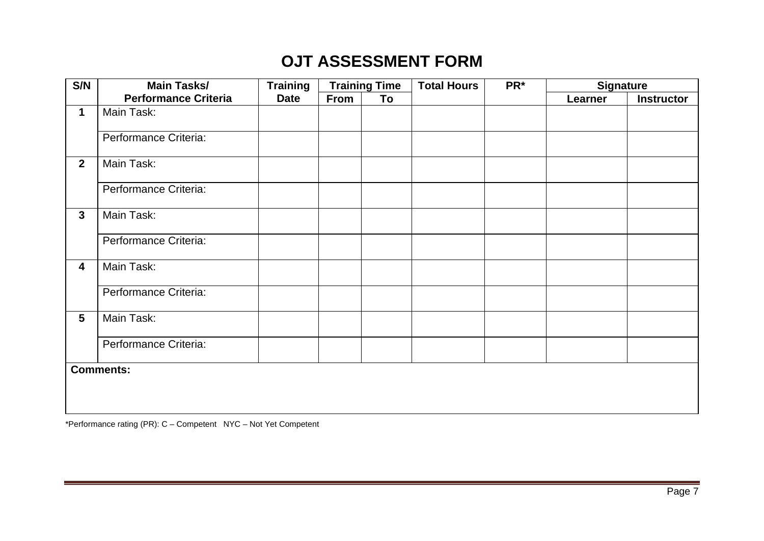# **OJT ASSESSMENT FORM**

| S/N            | <b>Main Tasks/</b>          | <b>Training</b> |             | <b>Training Time</b> | <b>Total Hours</b> | PR* | <b>Signature</b> |                   |
|----------------|-----------------------------|-----------------|-------------|----------------------|--------------------|-----|------------------|-------------------|
|                | <b>Performance Criteria</b> | <b>Date</b>     | <b>From</b> | To                   |                    |     | Learner          | <b>Instructor</b> |
| $\mathbf{1}$   | Main Task:                  |                 |             |                      |                    |     |                  |                   |
|                | Performance Criteria:       |                 |             |                      |                    |     |                  |                   |
| $\overline{2}$ | Main Task:                  |                 |             |                      |                    |     |                  |                   |
|                | Performance Criteria:       |                 |             |                      |                    |     |                  |                   |
| $\mathbf{3}$   | Main Task:                  |                 |             |                      |                    |     |                  |                   |
|                | Performance Criteria:       |                 |             |                      |                    |     |                  |                   |
| 4              | Main Task:                  |                 |             |                      |                    |     |                  |                   |
|                | Performance Criteria:       |                 |             |                      |                    |     |                  |                   |
| $5\phantom{.}$ | Main Task:                  |                 |             |                      |                    |     |                  |                   |
|                | Performance Criteria:       |                 |             |                      |                    |     |                  |                   |
|                | <b>Comments:</b>            |                 |             |                      |                    |     |                  |                   |
|                |                             |                 |             |                      |                    |     |                  |                   |
|                |                             |                 |             |                      |                    |     |                  |                   |
|                |                             |                 |             |                      |                    |     |                  |                   |

\*Performance rating (PR): C – Competent NYC – Not Yet Competent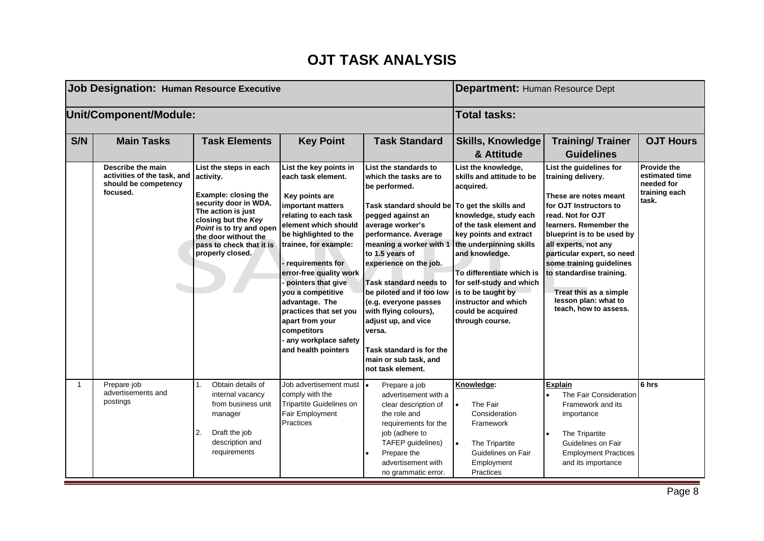#### **OJT TASK ANALYSIS**

| <b>Job Designation: Human Resource Executive</b> |                                                                                      |                                                                                                                                                                                                                                       |                                                                                                                                                                                                                                                                                                                                                                                                               |                                                                                                                                                                                                                                                                                                                                                                                                                                                          | <b>Department: Human Resource Dept</b>                                                                                                                                                                                                                                                                                                                           |                                                                                                                                                                                                                                                                                                                                                                        |                                                                              |
|--------------------------------------------------|--------------------------------------------------------------------------------------|---------------------------------------------------------------------------------------------------------------------------------------------------------------------------------------------------------------------------------------|---------------------------------------------------------------------------------------------------------------------------------------------------------------------------------------------------------------------------------------------------------------------------------------------------------------------------------------------------------------------------------------------------------------|----------------------------------------------------------------------------------------------------------------------------------------------------------------------------------------------------------------------------------------------------------------------------------------------------------------------------------------------------------------------------------------------------------------------------------------------------------|------------------------------------------------------------------------------------------------------------------------------------------------------------------------------------------------------------------------------------------------------------------------------------------------------------------------------------------------------------------|------------------------------------------------------------------------------------------------------------------------------------------------------------------------------------------------------------------------------------------------------------------------------------------------------------------------------------------------------------------------|------------------------------------------------------------------------------|
|                                                  | Unit/Component/Module:<br><b>Total tasks:</b>                                        |                                                                                                                                                                                                                                       |                                                                                                                                                                                                                                                                                                                                                                                                               |                                                                                                                                                                                                                                                                                                                                                                                                                                                          |                                                                                                                                                                                                                                                                                                                                                                  |                                                                                                                                                                                                                                                                                                                                                                        |                                                                              |
| S/N                                              | <b>Main Tasks</b>                                                                    | <b>Task Elements</b>                                                                                                                                                                                                                  | <b>Key Point</b>                                                                                                                                                                                                                                                                                                                                                                                              | <b>Task Standard</b>                                                                                                                                                                                                                                                                                                                                                                                                                                     | <b>Skills, Knowledge</b><br>& Attitude                                                                                                                                                                                                                                                                                                                           | <b>Training/Trainer</b><br><b>Guidelines</b>                                                                                                                                                                                                                                                                                                                           | <b>OJT Hours</b>                                                             |
|                                                  | Describe the main<br>activities of the task, and<br>should be competency<br>focused. | List the steps in each<br>activity.<br>Example: closing the<br>security door in WDA.<br>The action is just<br>closing but the Key<br>Point is to try and open<br>the door without the<br>pass to check that it is<br>properly closed. | List the key points in<br>each task element.<br>Key points are<br>important matters<br>relating to each task<br>element which should<br>be highlighted to the<br>trainee, for example:<br>requirements for<br>error-free quality work<br>pointers that give<br>you a competitive<br>advantage. The<br>practices that set you<br>apart from your<br>competitors<br>any workplace safety<br>and health pointers | List the standards to<br>which the tasks are to<br>be performed.<br>Task standard should be<br>pegged against an<br>average worker's<br>performance. Average<br>meaning a worker with 1<br>to 1.5 years of<br>experience on the job.<br>Task standard needs to<br>be piloted and if too low<br>(e.g. everyone passes<br>with flying colours),<br>adjust up, and vice<br>versa.<br>Task standard is for the<br>main or sub task, and<br>not task element. | List the knowledge,<br>skills and attitude to be<br>acquired.<br>To get the skills and<br>knowledge, study each<br>of the task element and<br>key points and extract<br>the underpinning skills<br>and knowledge.<br>To differentiate which is<br>for self-study and which<br>is to be taught by<br>instructor and which<br>could be acquired<br>through course. | List the guidelines for<br>training delivery.<br>These are notes meant<br>for OJT Instructors to<br>read. Not for OJT<br>learners. Remember the<br>blueprint is to be used by<br>all experts, not any<br>particular expert, so need<br>some training guidelines<br>to standardise training.<br>Treat this as a simple<br>lesson plan: what to<br>teach, how to assess. | <b>Provide the</b><br>estimated time<br>needed for<br>training each<br>task. |
| $\mathbf{1}$                                     | Prepare job<br>advertisements and<br>postings                                        | Obtain details of<br>1.<br>internal vacancy<br>from business unit<br>manager<br>2.<br>Draft the job<br>description and<br>requirements                                                                                                | Job advertisement must  .<br>comply with the<br>Tripartite Guidelines on<br>Fair Employment<br>Practices                                                                                                                                                                                                                                                                                                      | Prepare a job<br>advertisement with a<br>clear description of<br>the role and<br>requirements for the<br>job (adhere to<br>TAFEP guidelines)<br>Prepare the<br>advertisement with<br>no grammatic error.                                                                                                                                                                                                                                                 | Knowledge:<br>The Fair<br>$\bullet$<br>Consideration<br>Framework<br>The Tripartite<br>$\bullet$<br>Guidelines on Fair<br>Employment<br>Practices                                                                                                                                                                                                                | <b>Explain</b><br>The Fair Consideration<br>Framework and its<br>importance<br>The Tripartite<br>Guidelines on Fair<br><b>Employment Practices</b><br>and its importance                                                                                                                                                                                               | 6 hrs                                                                        |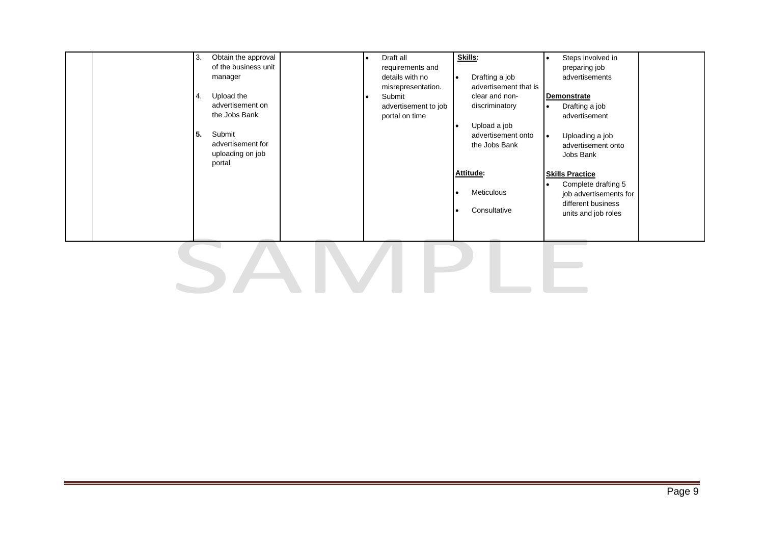|  | Obtain the approval<br>3.<br>of the business unit<br>manager<br>Upload the<br><b>4.</b><br>advertisement on<br>the Jobs Bank<br>5.<br>Submit<br>advertisement for<br>uploading on job<br>portal |  | Draft all<br>requirements and<br>details with no<br>misrepresentation.<br>Submit<br>advertisement to job<br>portal on time | Skills:<br>Drafting a job<br>advertisement that is<br>clear and non-<br>discriminatory<br>Upload a job<br>advertisement onto<br>the Jobs Bank<br>Attitude:<br>Meticulous<br>Consultative | Steps involved in<br>preparing job<br>advertisements<br><b>Demonstrate</b><br>Drafting a job<br>$\bullet$<br>advertisement<br>Uploading a job<br>l e i<br>advertisement onto<br>Jobs Bank<br><b>Skills Practice</b><br>Complete drafting 5<br>$\bullet$<br>job advertisements for<br>different business<br>units and job roles |  |  |  |
|--|-------------------------------------------------------------------------------------------------------------------------------------------------------------------------------------------------|--|----------------------------------------------------------------------------------------------------------------------------|------------------------------------------------------------------------------------------------------------------------------------------------------------------------------------------|--------------------------------------------------------------------------------------------------------------------------------------------------------------------------------------------------------------------------------------------------------------------------------------------------------------------------------|--|--|--|
|  |                                                                                                                                                                                                 |  |                                                                                                                            |                                                                                                                                                                                          |                                                                                                                                                                                                                                                                                                                                |  |  |  |